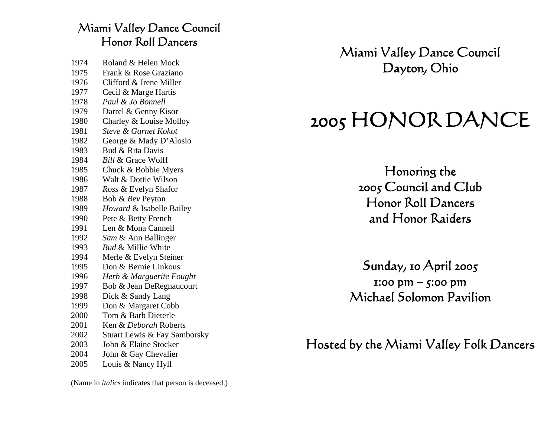### Miami Valley Dance Council Honor Roll Dancers

| 1974 | Roland & Helen Mock           |
|------|-------------------------------|
| 1975 | Frank & Rose Graziano         |
| 1976 | Clifford & Irene Miller       |
| 1977 | Cecil & Marge Hartis          |
| 1978 | Paul & Jo Bonnell             |
| 1979 | Darrel & Genny Kisor          |
| 1980 | Charley & Louise Molloy       |
| 1981 | Steve & Garnet Kokot          |
| 1982 | George & Mady D'Alosio        |
| 1983 | Bud & Rita Davis              |
| 1984 | <b>Bill &amp; Grace Wolff</b> |
| 1985 | Chuck & Bobbie Myers          |
| 1986 | Walt & Dottie Wilson          |
| 1987 | Ross & Evelyn Shafor          |
| 1988 | Bob & Bev Peyton              |
| 1989 | Howard & Isabelle Bailey      |
| 1990 | Pete & Betty French           |
| 1991 | Len & Mona Cannell            |
| 1992 | Sam & Ann Ballinger           |
| 1993 | <b>Bud &amp; Millie White</b> |
| 1994 | Merle & Evelyn Steiner        |
| 1995 | Don & Bernie Linkous          |
| 1996 | Herb & Marguerite Fought      |
| 1997 | Bob & Jean DeRegnaucourt      |
| 1998 | Dick & Sandy Lang             |
| 1999 | Don & Margaret Cobb           |
| 2000 | Tom & Barb Dieterle           |
| 2001 | Ken & Deborah Roberts         |
| 2002 | Stuart Lewis & Fay Samborsky  |
| 2003 | John & Elaine Stocker         |
| 2004 | John & Gay Chevalier          |
| 2005 | Louis & Nancy Hyll            |

(Name in *italics* indicates that person is deceased.)

Miami Valley Dance Council Dayton, Ohio

# 2005 HONOR DANCE

Honoring the 2005 Council and Club Honor Roll Dancers and Honor Raiders

Sunday, 10 April 2005 1:00 pm – 5:00 pm Michael Solomon Pavilion

Hosted by the Miami Valley Folk Dancers